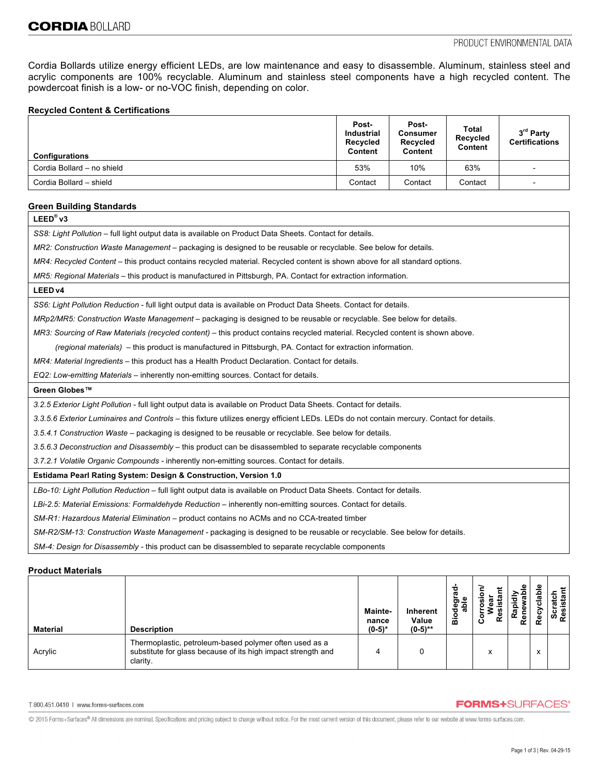Cordia Bollards utilize energy efficient LEDs, are low maintenance and easy to disassemble. Aluminum, stainless steel and acrylic components are 100% recyclable. Aluminum and stainless steel components have a high recycled content. The powdercoat finish is a low- or no-VOC finish, depending on color.

## **Recycled Content & Certifications**

| <b>Configurations</b>      | Post-<br><b>Industrial</b><br>Recycled<br>Content | Post-<br><b>Consumer</b><br>Recycled<br>Content | Total<br>Recycled<br>Content | 3 <sup>rd</sup> Party<br><b>Certifications</b> |
|----------------------------|---------------------------------------------------|-------------------------------------------------|------------------------------|------------------------------------------------|
| Cordia Bollard - no shield | 53%                                               | 10%                                             | 63%                          |                                                |
| Cordia Bollard - shield    | Contact                                           | Contact                                         | Contact                      | $\overline{\phantom{a}}$                       |

### **Green Building Standards**

| LEED® v3                                                                                                                                  |
|-------------------------------------------------------------------------------------------------------------------------------------------|
| SS8: Light Pollution – full light output data is available on Product Data Sheets. Contact for details.                                   |
| MR2: Construction Waste Management – packaging is designed to be reusable or recyclable. See below for details.                           |
| MR4: Recycled Content – this product contains recycled material. Recycled content is shown above for all standard options.                |
| MR5: Regional Materials – this product is manufactured in Pittsburgh, PA. Contact for extraction information.                             |
| LEED <sub>v4</sub>                                                                                                                        |
| SS6: Light Pollution Reduction - full light output data is available on Product Data Sheets. Contact for details.                         |
| MRp2/MR5: Construction Waste Management – packaging is designed to be reusable or recyclable. See below for details.                      |
| MR3: Sourcing of Raw Materials (recycled content) – this product contains recycled material. Recycled content is shown above.             |
| (regional materials) – this product is manufactured in Pittsburgh, PA. Contact for extraction information.                                |
| MR4: Material Ingredients – this product has a Health Product Declaration. Contact for details.                                           |
| EQ2: Low-emitting Materials – inherently non-emitting sources. Contact for details.                                                       |
| Green Globes™                                                                                                                             |
| 3.2.5 Exterior Light Pollution - full light output data is available on Product Data Sheets. Contact for details.                         |
| 3.3.5.6 Exterior Luminaires and Controls – this fixture utilizes energy efficient LEDs. LEDs do not contain mercury. Contact for details. |
| 3.5.4.1 Construction Waste – packaging is designed to be reusable or recyclable. See below for details.                                   |
| 3.5.6.3 Deconstruction and Disassembly – this product can be disassembled to separate recyclable components                               |
| 3.7.2.1 Volatile Organic Compounds - inherently non-emitting sources. Contact for details.                                                |
| Estidama Pearl Rating System: Design & Construction, Version 1.0                                                                          |
| LBo-10: Light Pollution Reduction – full light output data is available on Product Data Sheets. Contact for details.                      |
| LBi-2.5: Material Emissions: Formaldehyde Reduction – inherently non-emitting sources. Contact for details.                               |
| SM-R1: Hazardous Material Elimination – product contains no ACMs and no CCA-treated timber                                                |
| SM-R2/SM-13: Construction Waste Management - packaging is designed to be reusable or recyclable. See below for details.                   |
| SM-4: Design for Disassembly - this product can be disassembled to separate recyclable components                                         |

### **Product Materials**

| <b>Material</b> | <b>Description</b>                                                                                                                 | Mainte-<br>nance<br>$(0-5)^*$ | <b>Inherent</b><br>Value<br>$(0-5)$ ** | ъ<br>σ<br>ಕಾ೨<br>ء<br>Φ<br>ರ ನ<br>۰<br>.-<br>$\bf{m}$ | ပိ<br>œ           | ₾<br>æ<br>ē<br>α | ౨<br>ᢛ<br>ပ<br>σ<br>۱è | Scratch<br>Resistant |
|-----------------|------------------------------------------------------------------------------------------------------------------------------------|-------------------------------|----------------------------------------|-------------------------------------------------------|-------------------|------------------|------------------------|----------------------|
| Acrylic         | Thermoplastic, petroleum-based polymer often used as a<br>substitute for glass because of its high impact strength and<br>clarity. |                               |                                        |                                                       | $\checkmark$<br>^ |                  | x                      |                      |

T 800.451.0410 | www.forms-surfaces.com

### **FORMS+SURFACES®**

@ 2015 Forms+Surfaces® All dimensions are nominal. Specifications and pricing subject to change without notice. For the most current version of this document, please refer to our website at www.forms-surfaces.com.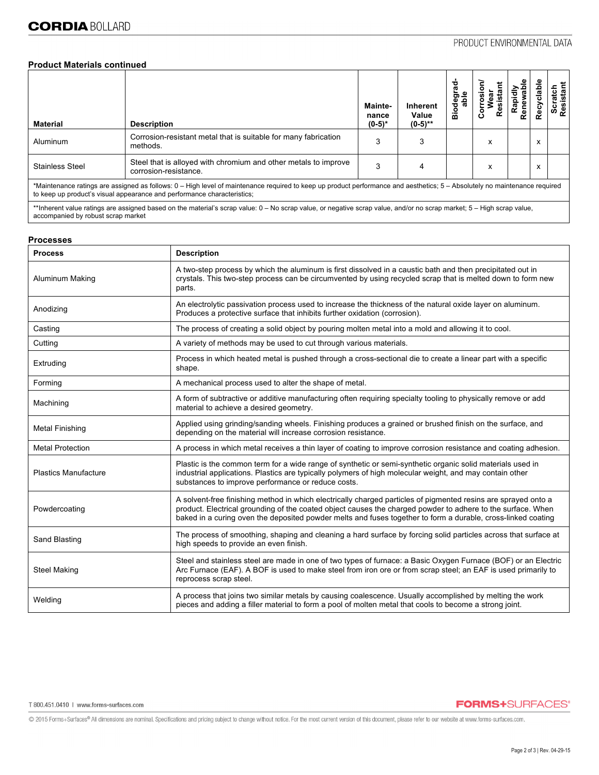## **Product Materials continued**

| <b>Material</b>                                                                                                                                                                                                                                       | <b>Description</b>                                                                       | Mainte-<br>nance<br>$(0-5)*$ | Inherent<br>Value<br>$(0-5)$ ** | ਠ<br>୫<br>å | Resista<br>ပ | Rapidly<br>Renewable | clabl<br>T | Scratch<br>Resistant |
|-------------------------------------------------------------------------------------------------------------------------------------------------------------------------------------------------------------------------------------------------------|------------------------------------------------------------------------------------------|------------------------------|---------------------------------|-------------|--------------|----------------------|------------|----------------------|
| Aluminum                                                                                                                                                                                                                                              | Corrosion-resistant metal that is suitable for many fabrication<br>methods.              | 3                            | 3                               |             | x            |                      | ᄉ          |                      |
| <b>Stainless Steel</b>                                                                                                                                                                                                                                | Steel that is alloyed with chromium and other metals to improve<br>corrosion-resistance. | 3                            | 4                               |             | x            |                      | ж          |                      |
| *Maintenance ratings are assigned as follows: 0 – High level of maintenance required to keep up product performance and aesthetics; 5 – Absolutely no maintenance required<br>to keep up product's visual appearance and performance characteristics; |                                                                                          |                              |                                 |             |              |                      |            |                      |
| **Inherent value ratings are assigned based on the material's scrap value: 0 – No scrap value, or negative scrap value, and/or no scrap market; 5 – High scrap value,<br>accompanied by robust scrap market                                           |                                                                                          |                              |                                 |             |              |                      |            |                      |

#### **Processes**

| <b>Process</b>              | <b>Description</b>                                                                                                                                                                                                                                                                                                                            |
|-----------------------------|-----------------------------------------------------------------------------------------------------------------------------------------------------------------------------------------------------------------------------------------------------------------------------------------------------------------------------------------------|
| Aluminum Making             | A two-step process by which the aluminum is first dissolved in a caustic bath and then precipitated out in<br>crystals. This two-step process can be circumvented by using recycled scrap that is melted down to form new<br>parts.                                                                                                           |
| Anodizing                   | An electrolytic passivation process used to increase the thickness of the natural oxide layer on aluminum.<br>Produces a protective surface that inhibits further oxidation (corrosion).                                                                                                                                                      |
| Casting                     | The process of creating a solid object by pouring molten metal into a mold and allowing it to cool.                                                                                                                                                                                                                                           |
| Cutting                     | A variety of methods may be used to cut through various materials.                                                                                                                                                                                                                                                                            |
| Extruding                   | Process in which heated metal is pushed through a cross-sectional die to create a linear part with a specific<br>shape.                                                                                                                                                                                                                       |
| Forming                     | A mechanical process used to alter the shape of metal.                                                                                                                                                                                                                                                                                        |
| Machining                   | A form of subtractive or additive manufacturing often requiring specialty tooling to physically remove or add<br>material to achieve a desired geometry.                                                                                                                                                                                      |
| Metal Finishing             | Applied using grinding/sanding wheels. Finishing produces a grained or brushed finish on the surface, and<br>depending on the material will increase corrosion resistance.                                                                                                                                                                    |
| <b>Metal Protection</b>     | A process in which metal receives a thin layer of coating to improve corrosion resistance and coating adhesion.                                                                                                                                                                                                                               |
| <b>Plastics Manufacture</b> | Plastic is the common term for a wide range of synthetic or semi-synthetic organic solid materials used in<br>industrial applications. Plastics are typically polymers of high molecular weight, and may contain other<br>substances to improve performance or reduce costs.                                                                  |
| Powdercoating               | A solvent-free finishing method in which electrically charged particles of pigmented resins are sprayed onto a<br>product. Electrical grounding of the coated object causes the charged powder to adhere to the surface. When<br>baked in a curing oven the deposited powder melts and fuses together to form a durable, cross-linked coating |
| Sand Blasting               | The process of smoothing, shaping and cleaning a hard surface by forcing solid particles across that surface at<br>high speeds to provide an even finish.                                                                                                                                                                                     |
| <b>Steel Making</b>         | Steel and stainless steel are made in one of two types of furnace: a Basic Oxygen Furnace (BOF) or an Electric<br>Arc Furnace (EAF). A BOF is used to make steel from iron ore or from scrap steel; an EAF is used primarily to<br>reprocess scrap steel.                                                                                     |
| Welding                     | A process that joins two similar metals by causing coalescence. Usually accomplished by melting the work<br>pieces and adding a filler material to form a pool of molten metal that cools to become a strong joint.                                                                                                                           |

**FORMS+**SURFACES®

@ 2015 Forms+Surfaces® All dimensions are nominal. Specifications and pricing subject to change without notice. For the most current version of this document, please refer to our website at www.forms-surfaces.com.